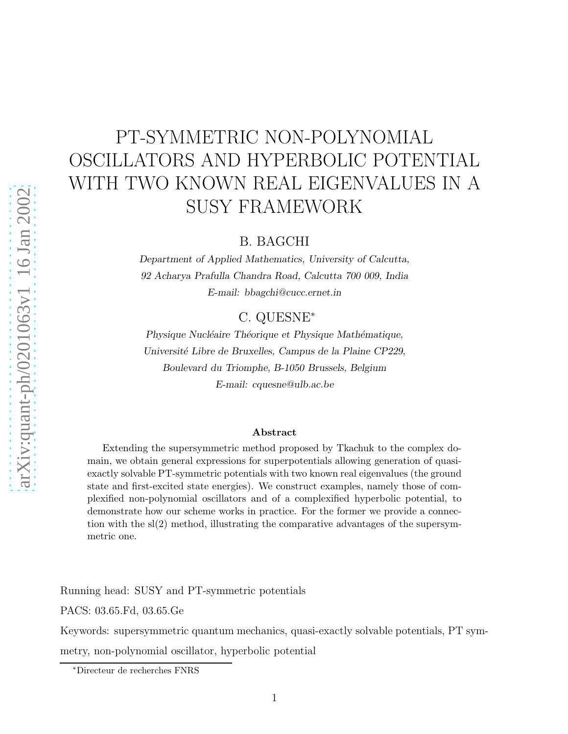# PT-SYMMETRIC NON-POLYNOMIAL OSCILLATORS AND HYPERBOLIC POTENTIAL WITH TWO KNOWN REAL EIGENVALUES IN A SUSY FRAMEWORK

B. BAGCHI

*Department of Applied Mathematics, University of Calcutta, 92 Acharya Prafulla Chandra Road, Calcutta 700 009, India E-mail: bbagchi@cucc.ernet.in*

C. QUESNE<sup>∗</sup>

*Physique Nucléaire Théorique et Physique Mathématique, Universit´e Libre de Bruxelles, Campus de la Plaine CP229, Boulevard du Triomphe, B-1050 Brussels, Belgium E-mail: cquesne@ulb.ac.be*

#### Abstract

Extending the supersymmetric method proposed by Tkachuk to the complex domain, we obtain general expressions for superpotentials allowing generation of quasiexactly solvable PT-symmetric potentials with two known real eigenvalues (the ground state and first-excited state energies). We construct examples, namely those of complexified non-polynomial oscillators and of a complexified hyperbolic potential, to demonstrate how our scheme works in practice. For the former we provide a connection with the  $sl(2)$  method, illustrating the comparative advantages of the supersymmetric one.

Running head: SUSY and PT-symmetric potentials

PACS: 03.65.Fd, 03.65.Ge

Keywords: supersymmetric quantum mechanics, quasi-exactly solvable potentials, PT symmetry, non-polynomial oscillator, hyperbolic potential

<sup>∗</sup>Directeur de recherches FNRS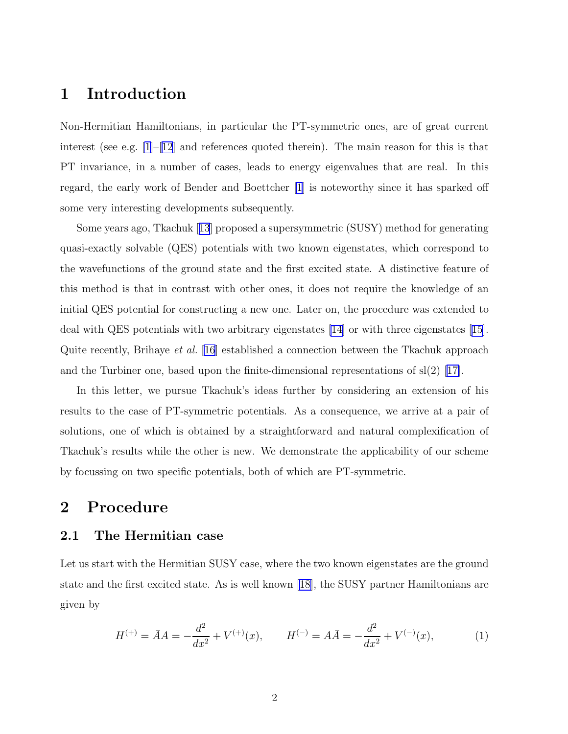### 1 Introduction

Non-Hermitian Hamiltonians, in particular the PT-symmetric ones, are of great current interest (see e.g. [\[1](#page-12-0)]–[[12](#page-12-0)] and references quoted therein). The main reason for this is that PT invariance, in a number of cases, leads to energy eigenvalues that are real. In this regard, the early work of Bender and Boettcher [\[1\]](#page-12-0) is noteworthy since it has sparked off some very interesting developments subsequently.

Some years ago, Tkachuk[[13](#page-12-0)] proposed a supersymmetric (SUSY) method for generating quasi-exactly solvable (QES) potentials with two known eigenstates, which correspond to the wavefunctions of the ground state and the first excited state. A distinctive feature of this method is that in contrast with other ones, it does not require the knowledge of an initial QES potential for constructing a new one. Later on, the procedure was extended to deal with QES potentials with two arbitrary eigenstates [\[14](#page-12-0)] or with three eigenstates[[15](#page-12-0)]. Quite recently, Brihaye *et al.* [\[16](#page-12-0)] established a connection between the Tkachuk approach and the Turbiner one, based upon the finite-dimensional representations of  $sl(2)$  [\[17\]](#page-13-0).

In this letter, we pursue Tkachuk's ideas further by considering an extension of his results to the case of PT-symmetric potentials. As a consequence, we arrive at a pair of solutions, one of which is obtained by a straightforward and natural complexification of Tkachuk's results while the other is new. We demonstrate the applicability of our scheme by focussing on two specific potentials, both of which are PT-symmetric.

### 2 Procedure

#### 2.1 The Hermitian case

Let us start with the Hermitian SUSY case, where the two known eigenstates are the ground state and the first excited state. As is well known [\[18\]](#page-13-0), the SUSY partner Hamiltonians are given by

$$
H^{(+)} = \bar{A}A = -\frac{d^2}{dx^2} + V^{(+)}(x), \qquad H^{(-)} = A\bar{A} = -\frac{d^2}{dx^2} + V^{(-)}(x), \tag{1}
$$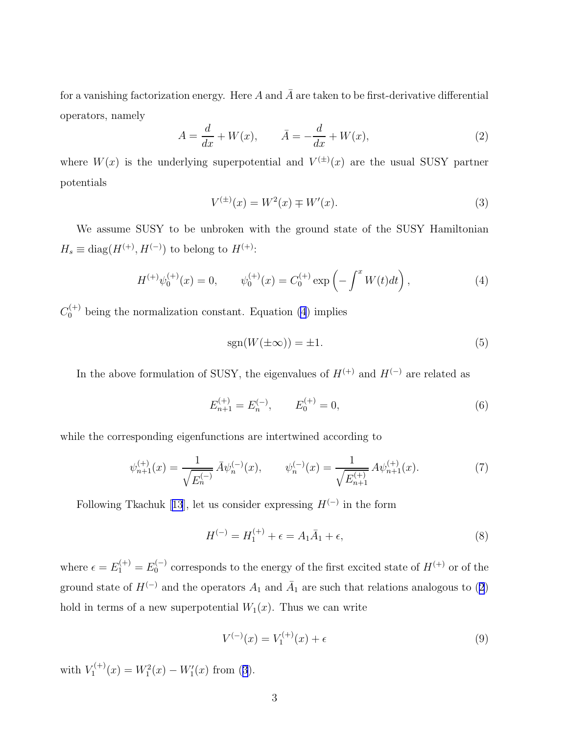<span id="page-2-0"></span>for a vanishing factorization energy. Here A and  $\bar{A}$  are taken to be first-derivative differential operators, namely

$$
A = \frac{d}{dx} + W(x), \qquad \bar{A} = -\frac{d}{dx} + W(x), \tag{2}
$$

where  $W(x)$  is the underlying superpotential and  $V^{(\pm)}(x)$  are the usual SUSY partner potentials

$$
V^{(\pm)}(x) = W^2(x) \mp W'(x). \tag{3}
$$

We assume SUSY to be unbroken with the ground state of the SUSY Hamiltonian  $H_s \equiv \text{diag}(H^{(+)}, H^{(-)})$  to belong to  $H^{(+)}$ :

$$
H^{(+)}\psi_0^{(+)}(x) = 0, \qquad \psi_0^{(+)}(x) = C_0^{(+)}\exp\left(-\int^x W(t)dt\right),\tag{4}
$$

 $C_0^{(+)}$  being the normalization constant. Equation (4) implies

$$
sgn(W(\pm \infty)) = \pm 1.
$$
\n(5)

In the above formulation of SUSY, the eigenvalues of  $H^{(+)}$  and  $H^{(-)}$  are related as

$$
E_{n+1}^{(+)} = E_n^{(-)}, \qquad E_0^{(+)} = 0,
$$
\n(6)

while the corresponding eigenfunctions are intertwined according to

$$
\psi_{n+1}^{(+)}(x) = \frac{1}{\sqrt{E_n^{(-)}}} \bar{A} \psi_n^{(-)}(x), \qquad \psi_n^{(-)}(x) = \frac{1}{\sqrt{E_{n+1}^{(+)}}} A \psi_{n+1}^{(+)}(x). \tag{7}
$$

FollowingTkachuk [[13](#page-12-0)], let us consider expressing  $H^{(-)}$  in the form

$$
H^{(-)} = H_1^{(+)} + \epsilon = A_1 \bar{A}_1 + \epsilon,
$$
\n(8)

where  $\epsilon = E_1^{(+)} = E_0^{(-)}$  corresponds to the energy of the first excited state of  $H^{(+)}$  or of the ground state of  $H^{(-)}$  and the operators  $A_1$  and  $\overline{A}_1$  are such that relations analogous to (2) hold in terms of a new superpotential  $W_1(x)$ . Thus we can write

$$
V^{(-)}(x) = V_1^{(+)}(x) + \epsilon
$$
\n(9)

with  $V_1^{(+)}$  $V_1^{(+)}(x) = W_1^2(x) - W_1'(x)$  from (3).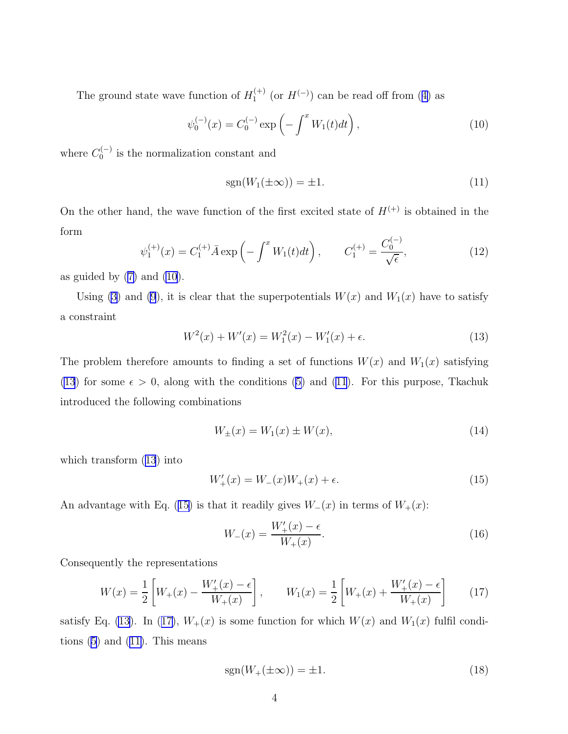<span id="page-3-0"></span>The ground state wave function of  $H_1^{(+)}$  $1^{(+)}$ (or  $H^{(-)}$ ) can be read off from ([4\)](#page-2-0) as

$$
\psi_0^{(-)}(x) = C_0^{(-)} \exp\left(-\int^x W_1(t)dt\right),\tag{10}
$$

where  $C_0^{(-)}$  $\binom{1}{0}$  is the normalization constant and

$$
sgn(W_1(\pm \infty)) = \pm 1. \tag{11}
$$

On the other hand, the wave function of the first excited state of  $H^{(+)}$  is obtained in the form (−)

$$
\psi_1^{(+)}(x) = C_1^{(+)} \bar{A} \exp\left(-\int^x W_1(t)dt\right), \qquad C_1^{(+)} = \frac{C_0^{(-)}}{\sqrt{\epsilon}},\tag{12}
$$

asguided by  $(7)$  $(7)$  and  $(10)$ .

Using [\(3](#page-2-0)) and [\(9](#page-2-0)), it is clear that the superpotentials  $W(x)$  and  $W_1(x)$  have to satisfy a constraint

$$
W^{2}(x) + W'(x) = W_{1}^{2}(x) - W_{1}'(x) + \epsilon.
$$
\n(13)

The problem therefore amounts to finding a set of functions  $W(x)$  and  $W_1(x)$  satisfying (13)for some  $\epsilon > 0$ , along with the conditions ([5\)](#page-2-0) and (11). For this purpose, Tkachuk introduced the following combinations

$$
W_{\pm}(x) = W_1(x) \pm W(x), \tag{14}
$$

which transform (13) into

$$
W'_{+}(x) = W_{-}(x)W_{+}(x) + \epsilon.
$$
 (15)

An advantage with Eq. (15) is that it readily gives  $W_-(x)$  in terms of  $W_+(x)$ :

$$
W_{-}(x) = \frac{W'_{+}(x) - \epsilon}{W_{+}(x)}.
$$
\n(16)

Consequently the representations

$$
W(x) = \frac{1}{2} \left[ W_+(x) - \frac{W_+'(x) - \epsilon}{W_+(x)} \right], \qquad W_1(x) = \frac{1}{2} \left[ W_+(x) + \frac{W_+'(x) - \epsilon}{W_+(x)} \right] \tag{17}
$$

satisfy Eq. (13). In (17),  $W_+(x)$  is some function for which  $W(x)$  and  $W_1(x)$  fulfil conditions  $(5)$  and  $(11)$ . This means

$$
sgn(W_{+}(\pm \infty)) = \pm 1. \tag{18}
$$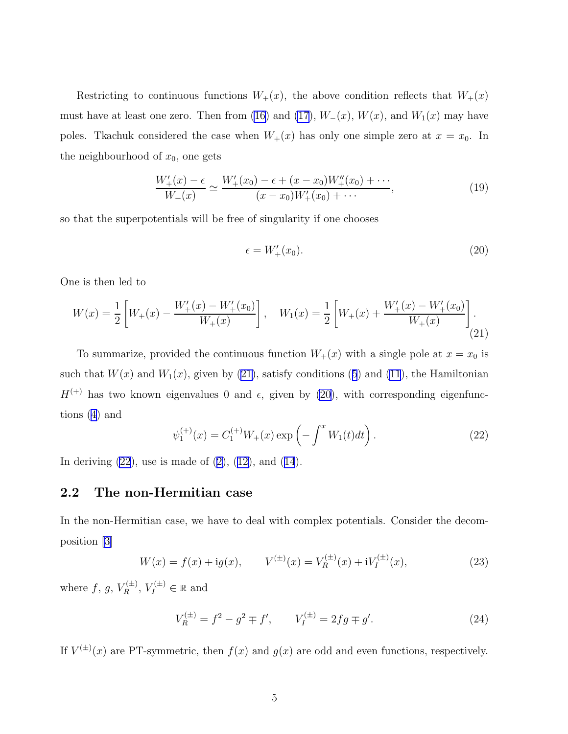<span id="page-4-0"></span>Restricting to continuous functions  $W_+(x)$ , the above condition reflects that  $W_+(x)$ must have at least one zero. Then from [\(16](#page-3-0)) and [\(17](#page-3-0)),  $W_-(x)$ ,  $W(x)$ , and  $W_1(x)$  may have poles. Tkachuk considered the case when  $W_+(x)$  has only one simple zero at  $x = x_0$ . In the neighbourhood of  $x_0$ , one gets

$$
\frac{W'_+(x) - \epsilon}{W_+(x)} \simeq \frac{W'_+(x_0) - \epsilon + (x - x_0)W''_+(x_0) + \cdots}{(x - x_0)W'_+(x_0) + \cdots},\tag{19}
$$

so that the superpotentials will be free of singularity if one chooses

$$
\epsilon = W_+'(x_0). \tag{20}
$$

One is then led to

$$
W(x) = \frac{1}{2} \left[ W_+(x) - \frac{W_+'(x) - W_+'(x_0)}{W_+(x)} \right], \quad W_1(x) = \frac{1}{2} \left[ W_+(x) + \frac{W_+'(x) - W_+'(x_0)}{W_+(x)} \right].
$$
\n(21)

To summarize, provided the continuous function  $W_+(x)$  with a single pole at  $x = x_0$  is suchthat  $W(x)$  and  $W_1(x)$ , given by (21), satisfy conditions ([5](#page-2-0)) and [\(11](#page-3-0)), the Hamiltonian  $H^{(+)}$  has two known eigenvalues 0 and  $\epsilon$ , given by (20), with corresponding eigenfunctions [\(4](#page-2-0)) and

$$
\psi_1^{(+)}(x) = C_1^{(+)}W_+(x) \exp\left(-\int^x W_1(t)dt\right). \tag{22}
$$

Inderiving  $(22)$  $(22)$ , use is made of  $(2)$ ,  $(12)$  $(12)$ , and  $(14)$  $(14)$  $(14)$ .

#### 2.2 The non-Hermitian case

In the non-Hermitian case, we have to deal with complex potentials. Consider the decomposition[[3\]](#page-12-0)

$$
W(x) = f(x) + ig(x), \qquad V^{(\pm)}(x) = V_R^{(\pm)}(x) + iV_I^{(\pm)}(x), \tag{23}
$$

where  $f, g, V_R^{(\pm)}, V_I^{(\pm)} \in \mathbb{R}$  and

$$
V_R^{(\pm)} = f^2 - g^2 \mp f', \qquad V_I^{(\pm)} = 2fg \mp g'.
$$
 (24)

If  $V^{(\pm)}(x)$  are PT-symmetric, then  $f(x)$  and  $g(x)$  are odd and even functions, respectively.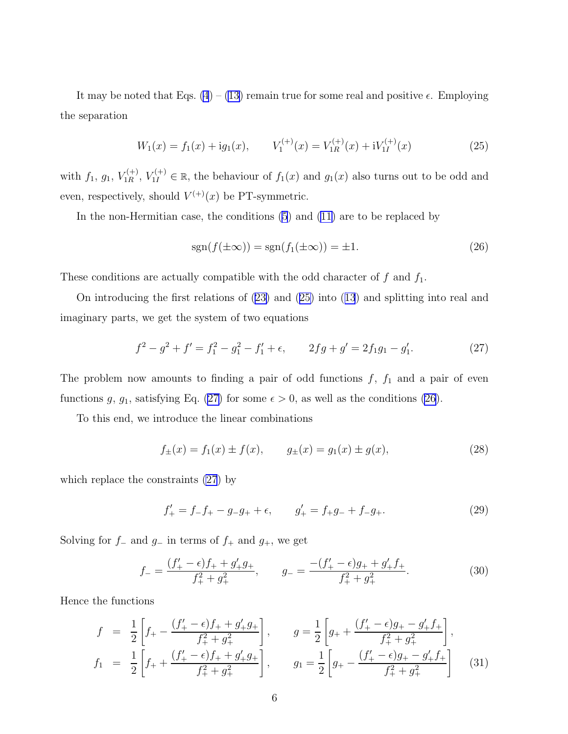<span id="page-5-0"></span>It may be noted that Eqs. [\(4](#page-2-0)) – [\(13](#page-3-0)) remain true for some real and positive  $\epsilon$ . Employing the separation

$$
W_1(x) = f_1(x) + ig_1(x), \qquad V_1^{(+)}(x) = V_{1R}^{(+)}(x) + iV_{1I}^{(+)}(x)
$$
\n(25)

with  $f_1, g_1, V_{1R}^{(+)}$ ,  $V_{1I}^{(+)} \in \mathbb{R}$ , the behaviour of  $f_1(x)$  and  $g_1(x)$  also turns out to be odd and even, respectively, should  $V^{(+)}(x)$  be PT-symmetric.

In the non-Hermitian case, the conditions [\(5](#page-2-0)) and([11\)](#page-3-0) are to be replaced by

$$
sgn(f(\pm \infty)) = sgn(f_1(\pm \infty)) = \pm 1.
$$
\n(26)

These conditions are actually compatible with the odd character of  $f$  and  $f_1$ .

On introducing the first relations of [\(23\)](#page-4-0) and (25) into([13](#page-3-0)) and splitting into real and imaginary parts, we get the system of two equations

$$
f^{2} - g^{2} + f' = f_{1}^{2} - g_{1}^{2} - f_{1}' + \epsilon, \qquad 2fg + g' = 2f_{1}g_{1} - g_{1}'. \tag{27}
$$

The problem now amounts to finding a pair of odd functions  $f, f_1$  and a pair of even functions g,  $g_1$ , satisfying Eq. (27) for some  $\epsilon > 0$ , as well as the conditions (26).

To this end, we introduce the linear combinations

$$
f_{\pm}(x) = f_1(x) \pm f(x), \qquad g_{\pm}(x) = g_1(x) \pm g(x), \tag{28}
$$

which replace the constraints (27) by

$$
f'_{+} = f_{-}f_{+} - g_{-}g_{+} + \epsilon, \qquad g'_{+} = f_{+}g_{-} + f_{-}g_{+}.
$$
 (29)

Solving for  $f_-\$  and  $g_-\$  in terms of  $f_+\$  and  $g_+\$ , we get

$$
f_{-} = \frac{(f'_{+} - \epsilon)f_{+} + g'_{+}g_{+}}{f_{+}^{2} + g_{+}^{2}}, \qquad g_{-} = \frac{-(f'_{+} - \epsilon)g_{+} + g'_{+}f_{+}}{f_{+}^{2} + g_{+}^{2}}.
$$
(30)

Hence the functions

$$
f = \frac{1}{2} \left[ f_{+} - \frac{(f'_{+} - \epsilon)f_{+} + g'_{+}g_{+}}{f_{+}^{2} + g_{+}^{2}} \right], \qquad g = \frac{1}{2} \left[ g_{+} + \frac{(f'_{+} - \epsilon)g_{+} - g'_{+}f_{+}}{f_{+}^{2} + g_{+}^{2}} \right],
$$
  

$$
f_{1} = \frac{1}{2} \left[ f_{+} + \frac{(f'_{+} - \epsilon)f_{+} + g'_{+}g_{+}}{f_{+}^{2} + g_{+}^{2}} \right], \qquad g_{1} = \frac{1}{2} \left[ g_{+} - \frac{(f'_{+} - \epsilon)g_{+} - g'_{+}f_{+}}{f_{+}^{2} + g_{+}^{2}} \right] \tag{31}
$$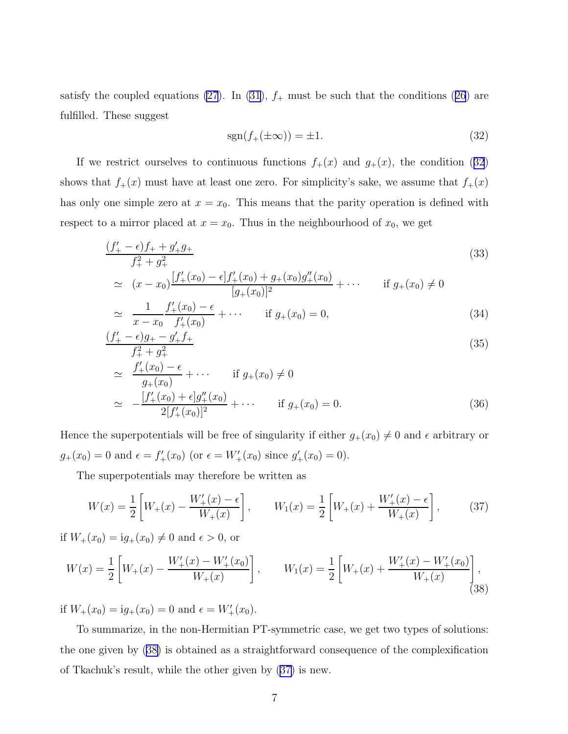<span id="page-6-0"></span>satisfy the coupled equations [\(27](#page-5-0)). In [\(31](#page-5-0)), $f_+$  must be such that the conditions ([26](#page-5-0)) are fulfilled. These suggest

$$
sgn(f_+(\pm\infty)) = \pm 1.
$$
\n(32)

If we restrict ourselves to continuous functions  $f_+(x)$  and  $g_+(x)$ , the condition (32) shows that  $f_+(x)$  must have at least one zero. For simplicity's sake, we assume that  $f_+(x)$ has only one simple zero at  $x = x_0$ . This means that the parity operation is defined with respect to a mirror placed at  $x = x_0$ . Thus in the neighbourhood of  $x_0$ , we get

$$
\frac{(f'_{+} - \epsilon)f_{+} + g'_{+}g_{+}}{f_{+}^{2} + g_{+}^{2}} \tag{33}
$$

$$
\simeq (x - x_0) \frac{[f'_+(x_0) - \epsilon]f'_+(x_0) + g_+(x_0)g''_+(x_0)}{[g_+(x_0)]^2} + \cdots \quad \text{if } g_+(x_0) \neq 0
$$
  

$$
\simeq \frac{1}{\sqrt{f'_+(x_0) - \epsilon}} + \cdots \quad \text{if } g_+(x_0) = 0 \tag{34}
$$

$$
\simeq \frac{1}{x - x_0} \frac{f_+(x_0) - \epsilon}{f_+'(x_0)} + \cdots \quad \text{if } g_+(x_0) = 0,
$$
\n(34)

$$
\frac{(f'_+ - \epsilon)g_+ - g'_+ f_+}{f_+^2 + g_+^2} \tag{35}
$$

$$
\simeq \frac{f'_+(x_0) - \epsilon}{g_+(x_0)} + \cdots \quad \text{if } g_+(x_0) \neq 0
$$
  

$$
\simeq -\frac{[f'_+(x_0) + \epsilon]g''_+(x_0)}{2[f'_+(x_0)]^2} + \cdots \quad \text{if } g_+(x_0) = 0.
$$
 (36)

Hence the superpotentials will be free of singularity if either  $g_+(x_0) \neq 0$  and  $\epsilon$  arbitrary or  $g_+(x_0) = 0$  and  $\epsilon = f'_+(x_0)$  (or  $\epsilon = W'_+(x_0)$  since  $g'_+(x_0) = 0$ ).

The superpotentials may therefore be written as

$$
W(x) = \frac{1}{2} \left[ W_+(x) - \frac{W_+'(x) - \epsilon}{W_+(x)} \right], \qquad W_1(x) = \frac{1}{2} \left[ W_+(x) + \frac{W_+'(x) - \epsilon}{W_+(x)} \right], \tag{37}
$$

if  $W_+(x_0) = ig_+(x_0) \neq 0$  and  $\epsilon > 0$ , or

$$
W(x) = \frac{1}{2} \left[ W_+(x) - \frac{W_+'(x) - W_+'(x_0)}{W_+(x)} \right], \qquad W_1(x) = \frac{1}{2} \left[ W_+(x) + \frac{W_+'(x) - W_+'(x_0)}{W_+(x)} \right],
$$
\n(38)

if  $W_+(x_0) = ig_+(x_0) = 0$  and  $\epsilon = W'_+(x_0)$ .

To summarize, in the non-Hermitian PT-symmetric case, we get two types of solutions: the one given by (38) is obtained as a straightforward consequence of the complexification of Tkachuk's result, while the other given by (37) is new.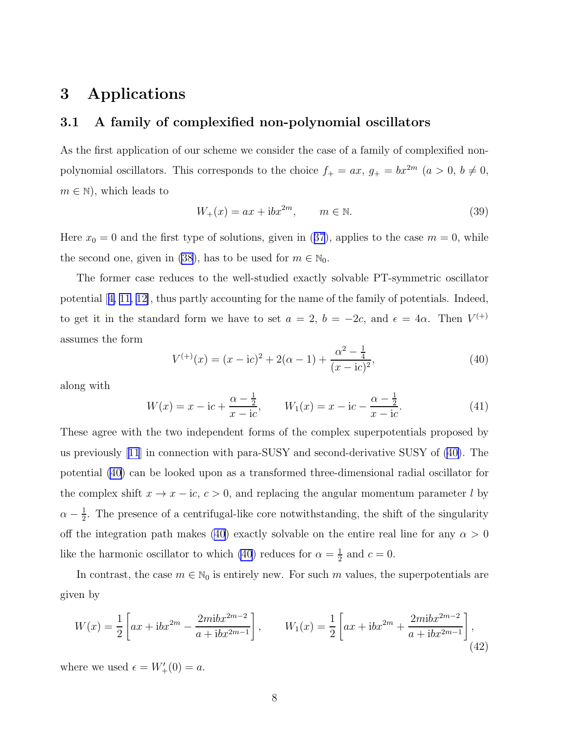### <span id="page-7-0"></span>3 Applications

#### 3.1 A family of complexified non-polynomial oscillators

As the first application of our scheme we consider the case of a family of complexified nonpolynomial oscillators. This corresponds to the choice  $f_+ = ax$ ,  $g_+ = bx^{2m}$   $(a > 0, b \neq 0,$  $m \in \mathbb{N}$ , which leads to

$$
W_+(x) = ax + ibx^{2m}, \qquad m \in \mathbb{N}.
$$
 (39)

Here $x_0 = 0$  and the first type of solutions, given in ([37](#page-6-0)), applies to the case  $m = 0$ , while the second one, given in [\(38](#page-6-0)), has to be used for  $m \in \mathbb{N}_0$ .

The former case reduces to the well-studied exactly solvable PT-symmetric oscillator potential[[4, 11, 12\]](#page-12-0), thus partly accounting for the name of the family of potentials. Indeed, to get it in the standard form we have to set  $a = 2$ ,  $b = -2c$ , and  $\epsilon = 4\alpha$ . Then  $V^{(+)}$ assumes the form

$$
V^{(+)}(x) = (x - ic)^2 + 2(\alpha - 1) + \frac{\alpha^2 - \frac{1}{4}}{(x - ic)^2},
$$
\n(40)

along with

$$
W(x) = x - i c + \frac{\alpha - \frac{1}{2}}{x - i c}, \qquad W_1(x) = x - i c - \frac{\alpha - \frac{1}{2}}{x - i c}.
$$
 (41)

These agree with the two independent forms of the complex superpotentials proposed by us previously[[11](#page-12-0)] in connection with para-SUSY and second-derivative SUSY of (40). The potential (40) can be looked upon as a transformed three-dimensional radial oscillator for the complex shift  $x \to x - ic, c > 0$ , and replacing the angular momentum parameter l by  $\alpha - \frac{1}{2}$  $\frac{1}{2}$ . The presence of a centrifugal-like core notwithstanding, the shift of the singularity off the integration path makes (40) exactly solvable on the entire real line for any  $\alpha > 0$ like the harmonic oscillator to which (40) reduces for  $\alpha = \frac{1}{2}$  $\frac{1}{2}$  and  $c = 0$ .

In contrast, the case  $m \in \mathbb{N}_0$  is entirely new. For such m values, the superpotentials are given by

$$
W(x) = \frac{1}{2} \left[ ax + ibx^{2m} - \frac{2mibx^{2m-2}}{a + ibx^{2m-1}} \right], \qquad W_1(x) = \frac{1}{2} \left[ ax + ibx^{2m} + \frac{2mibx^{2m-2}}{a + ibx^{2m-1}} \right],
$$
\n(42)

where we used  $\epsilon = W'_{+}(0) = a$ .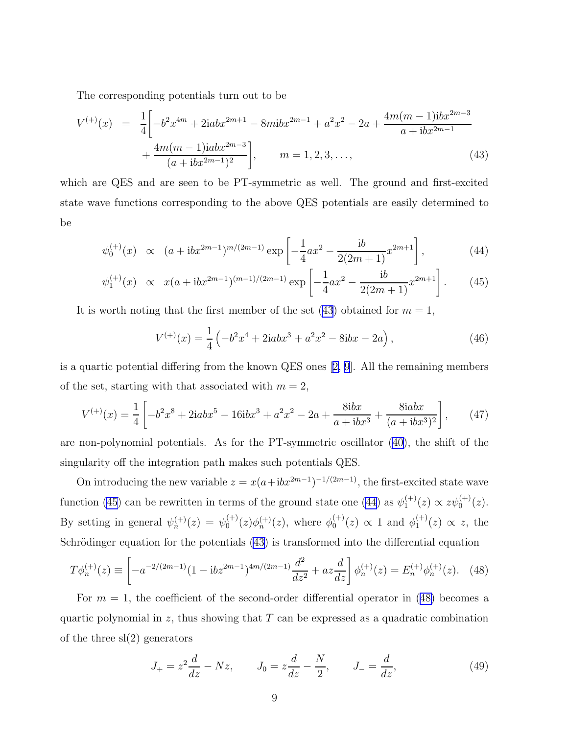<span id="page-8-0"></span>The corresponding potentials turn out to be

$$
V^{(+)}(x) = \frac{1}{4} \left[ -b^2 x^{4m} + 2iabx^{2m+1} - 8mibx^{2m-1} + a^2 x^2 - 2a + \frac{4m(m-1)ibx^{2m-3}}{a + ibx^{2m-1}} + \frac{4m(m-1)iabx^{2m-3}}{(a + ibx^{2m-1})^2} \right], \qquad m = 1, 2, 3, ..., \tag{43}
$$

which are QES and are seen to be PT-symmetric as well. The ground and first-excited state wave functions corresponding to the above QES potentials are easily determined to be

$$
\psi_0^{(+)}(x) \propto (a + ibx^{2m-1})^{m/(2m-1)} \exp\left[-\frac{1}{4}ax^2 - \frac{ib}{2(2m+1)}x^{2m+1}\right],
$$
\n(44)

$$
\psi_1^{(+)}(x) \propto x(a + ibx^{2m-1})^{(m-1)/(2m-1)} \exp\left[-\frac{1}{4}ax^2 - \frac{ib}{2(2m+1)}x^{2m+1}\right].\tag{45}
$$

It is worth noting that the first member of the set  $(43)$  obtained for  $m = 1$ ,

$$
V^{(+)}(x) = \frac{1}{4} \left( -b^2 x^4 + 2iabx^3 + a^2 x^2 - 8ibx - 2a \right),
$$
 (46)

is a quartic potential differing from the known QES ones[[2, 9](#page-12-0)]. All the remaining members of the set, starting with that associated with  $m = 2$ ,

$$
V^{(+)}(x) = \frac{1}{4} \left[ -b^2 x^8 + 2iabx^5 - 16ibx^3 + a^2 x^2 - 2a + \frac{8ibx}{a + ibx^3} + \frac{8iabx}{(a + ibx^3)^2} \right],\tag{47}
$$

are non-polynomial potentials. As for the PT-symmetric oscillator [\(40\)](#page-7-0), the shift of the singularity off the integration path makes such potentials QES.

On introducing the new variable  $z = x(a+ibx^{2m-1})^{-1/(2m-1)}$ , the first-excited state wave function (45) can be rewritten in terms of the ground state one (44) as  $\psi_1^{(+)}$  $2^{(+)}_{1}(z) \propto z\psi_0^{(+)}(z).$ By setting in general  $\psi_n^{(+)}(z) = \psi_0^{(+)}$  $\int_0^{(+)} (z) \phi_n^{(+)}(z)$ , where  $\phi_0^{(+)}$  $\phi_0^{(+)}(z) \propto 1$  and  $\phi_1^{(+)}$  $x_1^{(+)}(z) \propto z$ , the Schrödinger equation for the potentials  $(43)$  is transformed into the differential equation

$$
T\phi_n^{(+)}(z) \equiv \left[ -a^{-2/(2m-1)}(1 - ibz^{2m-1})^{4m/(2m-1)}\frac{d^2}{dz^2} + az\frac{d}{dz} \right] \phi_n^{(+)}(z) = E_n^{(+)}\phi_n^{(+)}(z). \tag{48}
$$

For  $m = 1$ , the coefficient of the second-order differential operator in (48) becomes a quartic polynomial in z, thus showing that  $T$  can be expressed as a quadratic combination of the three  $sl(2)$  generators

$$
J_{+} = z^{2} \frac{d}{dz} - Nz, \qquad J_{0} = z \frac{d}{dz} - \frac{N}{2}, \qquad J_{-} = \frac{d}{dz}, \tag{49}
$$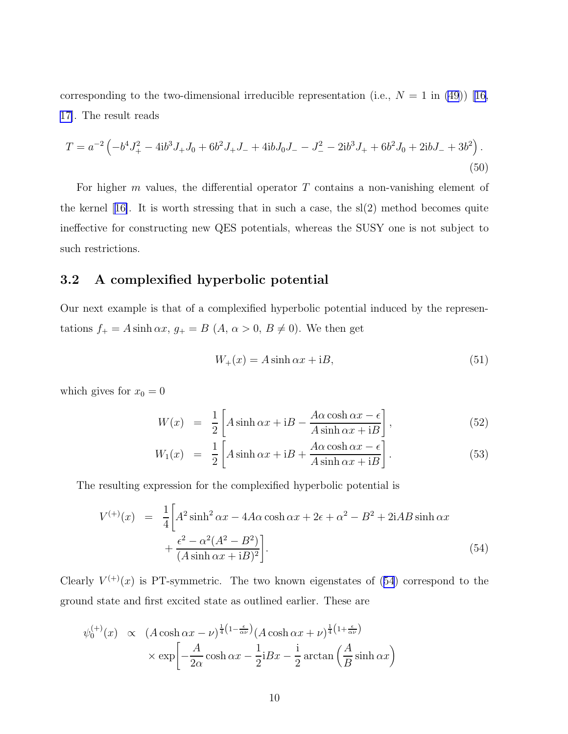<span id="page-9-0"></span>corresponding to the two-dimensional irreducible representation (i.e.,  $N = 1$  in [\(49](#page-8-0))) [\[16,](#page-12-0) [17\]](#page-13-0). The result reads

$$
T = a^{-2} \left( -b^4 J_+^2 - 4i b^3 J_+ J_0 + 6b^2 J_+ J_- + 4i b J_0 J_- - J_-^2 - 2i b^3 J_+ + 6b^2 J_0 + 2i b J_- + 3b^2 \right).
$$
\n(50)

For higher  $m$  values, the differential operator  $T$  contains a non-vanishing element of thekernel  $[16]$  $[16]$ . It is worth stressing that in such a case, the  $sl(2)$  method becomes quite ineffective for constructing new QES potentials, whereas the SUSY one is not subject to such restrictions.

#### 3.2 A complexified hyperbolic potential

Our next example is that of a complexified hyperbolic potential induced by the representations  $f_+ = A \sinh \alpha x$ ,  $g_+ = B$   $(A, \alpha > 0, B \neq 0)$ . We then get

$$
W_{+}(x) = A \sinh \alpha x + iB,\tag{51}
$$

which gives for  $x_0 = 0$ 

$$
W(x) = \frac{1}{2} \left[ A \sinh \alpha x + iB - \frac{A\alpha \cosh \alpha x - \epsilon}{A \sinh \alpha x + iB} \right],
$$
 (52)

$$
W_1(x) = \frac{1}{2} \left[ A \sinh \alpha x + iB + \frac{A\alpha \cosh \alpha x - \epsilon}{A \sinh \alpha x + iB} \right].
$$
 (53)

The resulting expression for the complexified hyperbolic potential is

$$
V^{(+)}(x) = \frac{1}{4} \left[ A^2 \sinh^2 \alpha x - 4A\alpha \cosh \alpha x + 2\epsilon + \alpha^2 - B^2 + 2iAB \sinh \alpha x + \frac{\epsilon^2 - \alpha^2 (A^2 - B^2)}{(A \sinh \alpha x + iB)^2} \right].
$$
\n(54)

Clearly  $V^{(+)}(x)$  is PT-symmetric. The two known eigenstates of (54) correspond to the ground state and first excited state as outlined earlier. These are

$$
\psi_0^{(+)}(x) \propto (A \cosh \alpha x - \nu)^{\frac{1}{4}\left(1 - \frac{\epsilon}{\alpha \nu}\right)} (A \cosh \alpha x + \nu)^{\frac{1}{4}\left(1 + \frac{\epsilon}{\alpha \nu}\right)} \times \exp\left[-\frac{A}{2\alpha} \cosh \alpha x - \frac{1}{2} i B x - \frac{i}{2} \arctan\left(\frac{A}{B} \sinh \alpha x\right)\right]
$$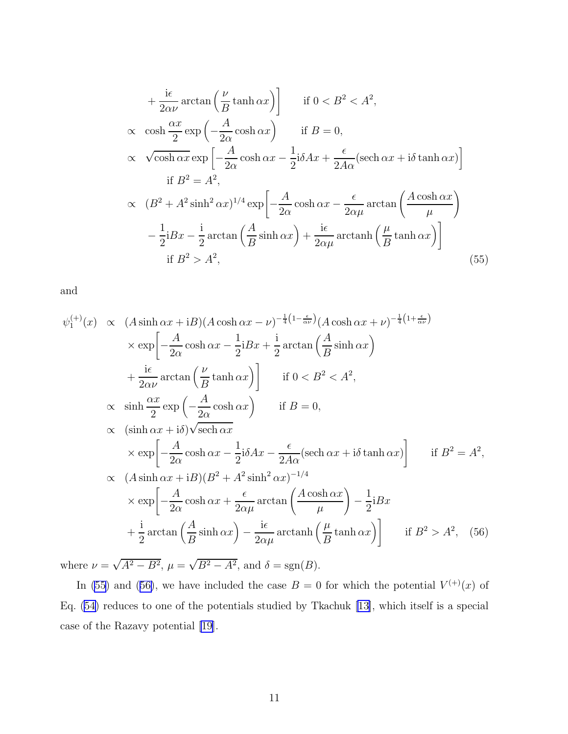$$
+\frac{\mathrm{i}\epsilon}{2\alpha\nu}\arctan\left(\frac{\nu}{B}\tanh\alpha x\right)\qquad \text{if } 0 < B^2 < A^2,
$$
\n
$$
\propto \cosh\frac{\alpha x}{2}\exp\left(-\frac{A}{2\alpha}\cosh\alpha x\right) \qquad \text{if } B = 0,
$$
\n
$$
\propto \sqrt{\cosh\alpha x}\exp\left[-\frac{A}{2\alpha}\cosh\alpha x - \frac{1}{2}\mathrm{i}\delta Ax + \frac{\epsilon}{2A\alpha}\left(\mathrm{sech}\,\alpha x + \mathrm{i}\delta\tanh\alpha x\right)\right]
$$
\n
$$
\text{if } B^2 = A^2,
$$
\n
$$
\propto (B^2 + A^2\sinh^2\alpha x)^{1/4}\exp\left[-\frac{A}{2\alpha}\cosh\alpha x - \frac{\epsilon}{2\alpha\mu}\arctan\left(\frac{A\cosh\alpha x}{\mu}\right)\right]
$$
\n
$$
-\frac{1}{2}\mathrm{i}Bx - \frac{\mathrm{i}}{2}\arctan\left(\frac{A}{B}\sinh\alpha x\right) + \frac{\mathrm{i}\epsilon}{2\alpha\mu}\arctan\left(\frac{\mu}{B}\tanh\alpha x\right)
$$
\n
$$
\text{if } B^2 > A^2,\tag{55}
$$

and

$$
\psi_{1}^{(+)}(x) \propto (A \sinh \alpha x + iB)(A \cosh \alpha x - \nu)^{-\frac{1}{4}(1-\frac{\epsilon}{\alpha \nu})}(A \cosh \alpha x + \nu)^{-\frac{1}{4}(1+\frac{\epsilon}{\alpha \nu})}
$$
  
\n
$$
\times \exp\left[-\frac{A}{2\alpha} \cosh \alpha x - \frac{1}{2}iBx + \frac{i}{2} \arctan\left(\frac{A}{B} \sinh \alpha x\right)\right]
$$
  
\n
$$
+ \frac{i\epsilon}{2\alpha \nu} \arctan\left(\frac{\nu}{B} \tanh \alpha x\right) \qquad \text{if } 0 < B^{2} < A^{2},
$$
  
\n
$$
\propto \sinh \frac{\alpha x}{2} \exp\left(-\frac{A}{2\alpha} \cosh \alpha x\right) \qquad \text{if } B = 0,
$$
  
\n
$$
\propto (\sinh \alpha x + i\delta) \sqrt{\text{sech }\alpha x}
$$
  
\n
$$
\times \exp\left[-\frac{A}{2\alpha} \cosh \alpha x - \frac{1}{2}i\delta Ax - \frac{\epsilon}{2A\alpha} (\text{sech }\alpha x + i\delta \tanh \alpha x) \right] \qquad \text{if } B^{2} = A^{2},
$$
  
\n
$$
\propto (A \sinh \alpha x + iB)(B^{2} + A^{2} \sinh^{2} \alpha x)^{-1/4}
$$
  
\n
$$
\times \exp\left[-\frac{A}{2\alpha} \cosh \alpha x + \frac{\epsilon}{2\alpha \mu} \arctan\left(\frac{A \cosh \alpha x}{\mu}\right) - \frac{1}{2}iBx + \frac{i}{2} \arctan\left(\frac{A}{B} \sinh \alpha x\right) - \frac{i\epsilon}{2\alpha \mu} \arctanh\left(\frac{\mu}{B} \tanh \alpha x\right) \right] \qquad \text{if } B^{2} > A^{2}, \quad (56)
$$

where  $\nu = \sqrt{A^2 - B^2}$ ,  $\mu = \sqrt{B^2 - A^2}$ , and  $\delta = \text{sgn}(B)$ .

In [\(55](#page-9-0)) and (56), we have included the case  $B = 0$  for which the potential  $V^{(+)}(x)$  of Eq.([54\)](#page-9-0) reduces to one of the potentials studied by Tkachuk [\[13\]](#page-12-0), which itself is a special case of the Razavy potential [\[19](#page-13-0)].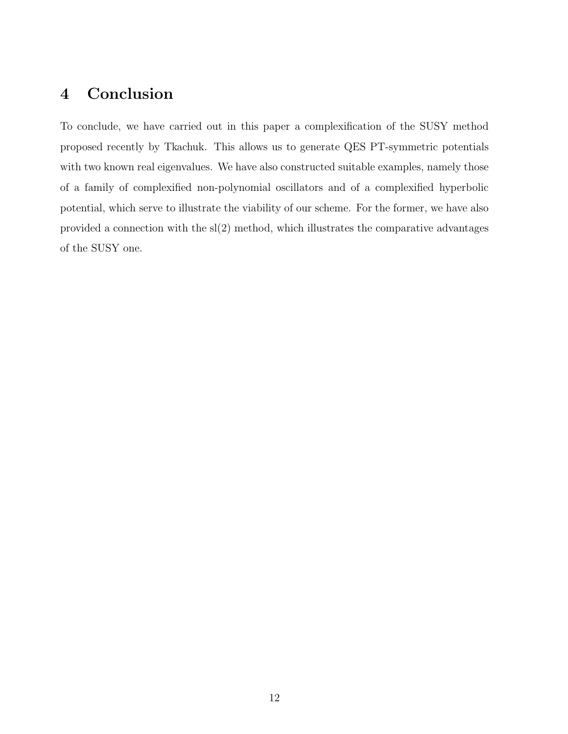## 4 Conclusion

To conclude, we have carried out in this paper a complexification of the SUSY method proposed recently by Tkachuk. This allows us to generate QES PT-symmetric potentials with two known real eigenvalues. We have also constructed suitable examples, namely those of a family of complexified non-polynomial oscillators and of a complexified hyperbolic potential, which serve to illustrate the viability of our scheme. For the former, we have also provided a connection with the sl(2) method, which illustrates the comparative advantages of the SUSY one.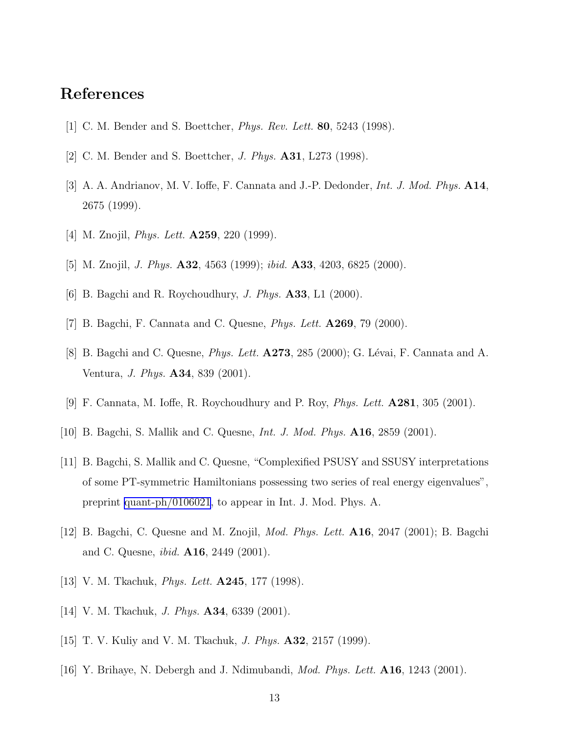### <span id="page-12-0"></span>References

- [1] C. M. Bender and S. Boettcher, Phys. Rev. Lett. 80, 5243 (1998).
- [2] C. M. Bender and S. Boettcher, J. Phys. A31, L273 (1998).
- [3] A. A. Andrianov, M. V. Ioffe, F. Cannata and J.-P. Dedonder, Int. J. Mod. Phys. A14, 2675 (1999).
- [4] M. Znojil, Phys. Lett. A259, 220 (1999).
- [5] M. Znojil, *J. Phys.* **A32**, 4563 (1999); *ibid.* **A33**, 4203, 6825 (2000).
- [6] B. Bagchi and R. Roychoudhury, J. Phys. A33, L1 (2000).
- [7] B. Bagchi, F. Cannata and C. Quesne, *Phys. Lett.*  $\mathbf{A269}$ , 79 (2000).
- [8] B. Bagchi and C. Quesne, *Phys. Lett.*  $\mathbf{A273}$ , 285 (2000); G. Lévai, F. Cannata and A. Ventura, J. Phys. A34, 839 (2001).
- [9] F. Cannata, M. Ioffe, R. Roychoudhury and P. Roy, Phys. Lett. A281, 305 (2001).
- [10] B. Bagchi, S. Mallik and C. Quesne, Int. J. Mod. Phys. A16, 2859 (2001).
- [11] B. Bagchi, S. Mallik and C. Quesne, "Complexified PSUSY and SSUSY interpretations of some PT-symmetric Hamiltonians possessing two series of real energy eigenvalues", preprint [quant-ph/0106021](http://arxiv.org/abs/quant-ph/0106021), to appear in Int. J. Mod. Phys. A.
- [12] B. Bagchi, C. Quesne and M. Znojil, Mod. Phys. Lett. A16, 2047 (2001); B. Bagchi and C. Quesne, ibid. A16, 2449 (2001).
- [13] V. M. Tkachuk, *Phys. Lett.* **A245**, 177 (1998).
- [14] V. M. Tkachuk, *J. Phys.* **A34**, 6339 (2001).
- [15] T. V. Kuliy and V. M. Tkachuk, *J. Phys.* **A32**, 2157 (1999).
- [16] Y. Brihaye, N. Debergh and J. Ndimubandi, *Mod. Phys. Lett.*  $\mathbf{A16}$ , 1243 (2001).